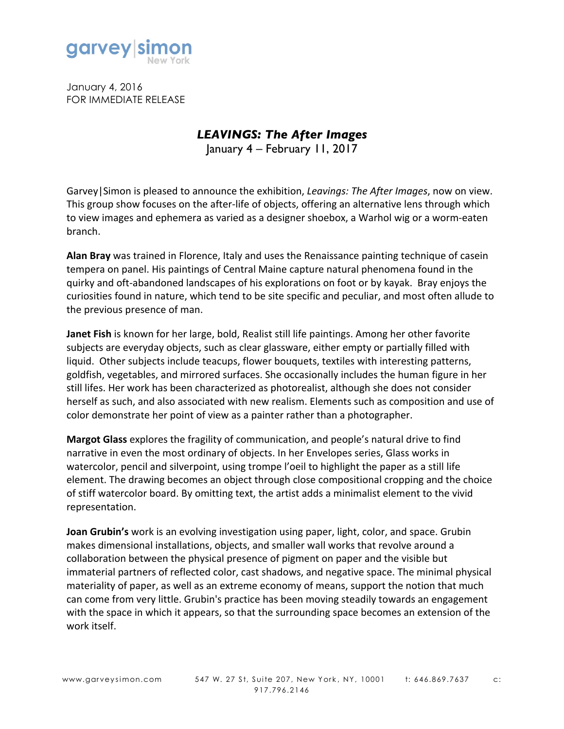

January 4, 2016 FOR IMMEDIATE RELEASE

## *LEAVINGS: The After Images*

January 4 – February 11, 2017

Garvey Simon is pleased to announce the exhibition, *Leavings: The After Images*, now on view. This group show focuses on the after-life of objects, offering an alternative lens through which to view images and ephemera as varied as a designer shoebox, a Warhol wig or a worm-eaten branch.

**Alan Bray** was trained in Florence, Italy and uses the Renaissance painting technique of casein tempera on panel. His paintings of Central Maine capture natural phenomena found in the quirky and oft-abandoned landscapes of his explorations on foot or by kayak. Bray enjoys the curiosities found in nature, which tend to be site specific and peculiar, and most often allude to the previous presence of man.

**Janet Fish** is known for her large, bold, Realist still life paintings. Among her other favorite subjects are everyday objects, such as clear glassware, either empty or partially filled with liquid. Other subjects include teacups, flower bouquets, textiles with interesting patterns, goldfish, vegetables, and mirrored surfaces. She occasionally includes the human figure in her still lifes. Her work has been characterized as photorealist, although she does not consider herself as such, and also associated with new realism. Elements such as composition and use of color demonstrate her point of view as a painter rather than a photographer.

**Margot Glass** explores the fragility of communication, and people's natural drive to find narrative in even the most ordinary of objects. In her Envelopes series, Glass works in watercolor, pencil and silverpoint, using trompe l'oeil to highlight the paper as a still life element. The drawing becomes an object through close compositional cropping and the choice of stiff watercolor board. By omitting text, the artist adds a minimalist element to the vivid representation.

**Joan Grubin's** work is an evolving investigation using paper, light, color, and space. Grubin makes dimensional installations, objects, and smaller wall works that revolve around a collaboration between the physical presence of pigment on paper and the visible but immaterial partners of reflected color, cast shadows, and negative space. The minimal physical materiality of paper, as well as an extreme economy of means, support the notion that much can come from very little. Grubin's practice has been moving steadily towards an engagement with the space in which it appears, so that the surrounding space becomes an extension of the work itself.